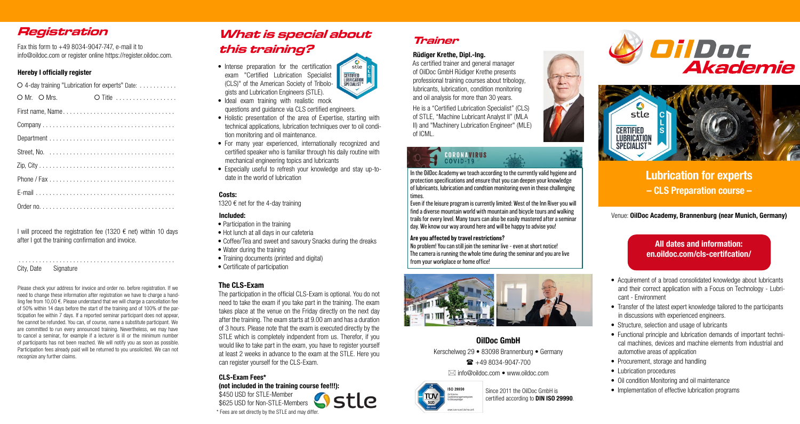**Lubrication for experts – CLS Preparation course –** 

Venue: **OilDoc Academy, Brannenburg (near Munich, Germany)**

# **Registration**

Fax this form to +49 8034-9047-747, e-mail it to info@oildoc.com or register online https://register.oildoc.com.

#### **Hereby I officially register**

I will proceed the registration fee (1320  $\epsilon$  net) within 10 days after I got the training confirmation and invoice.

| O 4-day training "Lubrication for experts" Date: |               |
|--------------------------------------------------|---------------|
| $OMr.$ $OMrs.$                                   | $\circ$ Title |
|                                                  |               |
|                                                  |               |
|                                                  |               |
|                                                  |               |
|                                                  |               |
|                                                  |               |
|                                                  |               |
|                                                  |               |

. . . . . . . . . . . . . . . . . . . . . . . . . . . . . . . . . . . . . . . . . . . . . .

#### City, Date Signature

- Participation in the training
- Hot lunch at all days in our cafeteria
- Coffee/Tea and sweet and savoury Snacks during the dreaks
- Water during the training
- Training documents (printed and digital)
- Certificate of participation

Please check your address for invoice and order no. before registration. If we need to change these information after registration we have to charge a handling fee from 10,00 €. Please understand that we will charge a cancellation fee of 50% within 14 days before the start of the training and of 100% of the participation fee within 7 days. If a reported seminar participant does not appear, fee cannot be refunded. You can, of course, name a substitute participant. We are committed to run every announced training. Nevertheless, we may have to cancel a seminar, for example if a lecturer is ill or the minimum number of participants has not been reached. We will notify you as soon as possible. Participation fees already paid will be returned to you unsolicited. We can not recognize any further claims.

• Transfer of the latest expert knowledge tailored to the participants in discussions with experienced engineers.

• Structure, selection and usage of lubricants

# **What is special about this training?**

- Intense preparation for the certification **CERTIFIED<br>LUBRICATION<br>SPECIALIST** exam "Certified Lubrication Specialist (CLS)" of the American Society of Tribologists and Lubrication Engineers (STLE).
- Ideal exam training with realistic mock questions and guidance via CLS certified engineers.
- Holistic presentation of the area of Expertise, starting with technical applications, lubrication techniques over to oil condition monitoring and oil maintenance.
- For many year experienced, internationally recognized and certified speaker who is familiar through his daily routine with mechanical engineering topics and lubricants
- Especially useful to refresh your knowledge and stay up-todate in the world of lubrication

In the OilDoc Academy we teach according to the currently valid hygiene and protection specifications and ensure that you can deepen your knowledge of lubricants, lubrication and condtion monitoring even in these challenging times.

No problem! You can still join the seminar live – even at short notice! The camera is running the whole time during the seminar and you are live from your workplace or home office!









- 
- 
- 
- 
- 
- 
- 
- 

#### **Costs:**

1320 € net for the 4-day training

#### **Included:**

#### **The CLS-Exam**

The participation in the official CLS-Exam is optional. You do not need to take the exam if you take part in the training. The exam takes place at the venue on the Friday directly on the next day after the training. The exam starts at 9.00 am and has a duration of 3 hours. Please note that the exam is executed directly by the STLE which is completely indpendent from us. Therefor, if you would like to take part in the exam, you have to register yourself at least 2 weeks in advance to the exam at the STLE. Here you can register yourself for the CLS-Exam.

STIP

# **CLS-Exam Fees\***

**(not included in the training course fee!!!):** 

\$450 USD for STLE-Member \$625 USD for Non-STLE-Members \* Fees are set directly by the STLE and may differ.



stle







• Acquirement of a broad consolidated knowledge about lubricants and their correct application with a Focus on Technology - Lubricant - Environment

• Functional principle and lubrication demands of important technical machines, devices and machine elements from industrial and automotive areas of application

• Procurement, storage and handling

• Lubrication procedures

• Oil condition Monitoring and oil maintenance

Since 2011 the OilDoc GmbH is • Implementation of effective lubrication programs

certified according to **DIN ISO 29990**.



**Trainer**

**Rüdiger Krethe, Dipl.-Ing.** 

As certified trainer and general manager of OilDoc GmbH Rüdiger Krethe presents professional training courses about tribology, lubricants, lubrication, condition monitoring and oil analysis for more than 30 years.

He is a "Certified Lubrication Specialist" (CLS) of STLE, "Machine Lubricant Analyst II" (MLA II) and "Machinery Lubrication Engineer" (MLE) of ICML.

## **CORONAVIRUS COVID-19**

Even if the leisure program is currently limited: West of the Inn River you will find a diverse mountain world with mountain and bicycle tours and walking trails for every level. Many tours can also be easily mastered after a seminar day. We know our way around here and will be happy to advise you!

#### Are you affected by travel restrictions?

### **All dates and information: en.oildoc.com/cls-certifcation/**